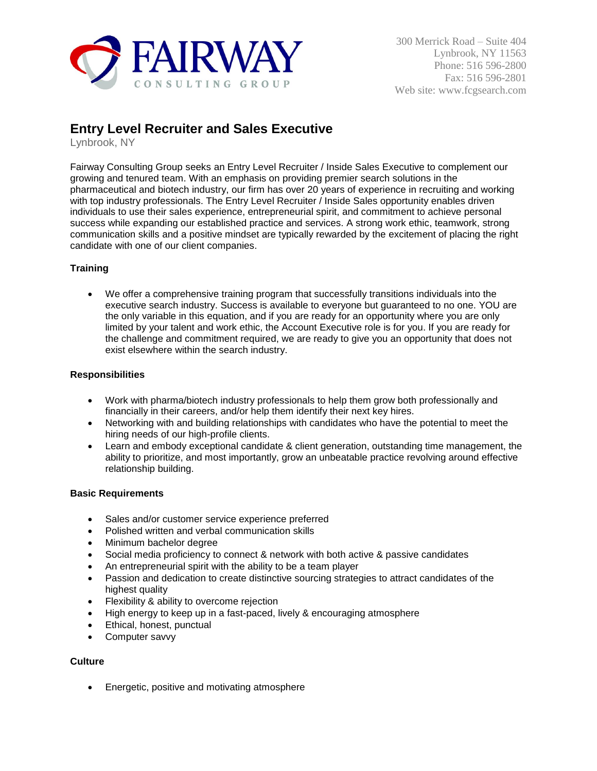

# **Entry Level Recruiter and Sales Executive**

Lynbrook, NY

Fairway Consulting Group seeks an Entry Level Recruiter / Inside Sales Executive to complement our growing and tenured team. With an emphasis on providing premier search solutions in the pharmaceutical and biotech industry, our firm has over 20 years of experience in recruiting and working with top industry professionals. The Entry Level Recruiter / Inside Sales opportunity enables driven individuals to use their sales experience, entrepreneurial spirit, and commitment to achieve personal success while expanding our established practice and services. A strong work ethic, teamwork, strong communication skills and a positive mindset are typically rewarded by the excitement of placing the right candidate with one of our client companies.

## **Training**

 We offer a comprehensive training program that successfully transitions individuals into the executive search industry. Success is available to everyone but guaranteed to no one. YOU are the only variable in this equation, and if you are ready for an opportunity where you are only limited by your talent and work ethic, the Account Executive role is for you. If you are ready for the challenge and commitment required, we are ready to give you an opportunity that does not exist elsewhere within the search industry.

## **Responsibilities**

- Work with pharma/biotech industry professionals to help them grow both professionally and financially in their careers, and/or help them identify their next key hires.
- Networking with and building relationships with candidates who have the potential to meet the hiring needs of our high-profile clients.
- Learn and embody exceptional candidate & client generation, outstanding time management, the ability to prioritize, and most importantly, grow an unbeatable practice revolving around effective relationship building.

#### **Basic Requirements**

- Sales and/or customer service experience preferred
- Polished written and verbal communication skills
- Minimum bachelor degree
- Social media proficiency to connect & network with both active & passive candidates
- An entrepreneurial spirit with the ability to be a team player
- Passion and dedication to create distinctive sourcing strategies to attract candidates of the highest quality
- **•** Flexibility & ability to overcome rejection
- High energy to keep up in a fast-paced, lively & encouraging atmosphere
- Ethical, honest, punctual
- Computer savvy

#### **Culture**

• Energetic, positive and motivating atmosphere